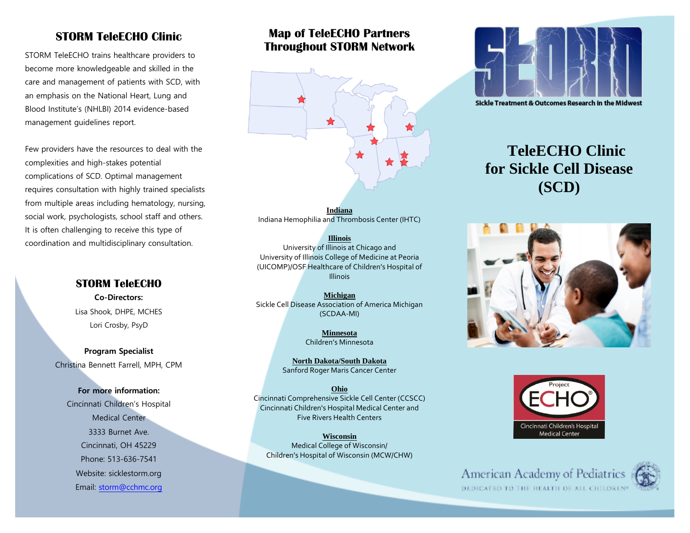### **STORM TeleECHO Clinic**

STORM TeleECHO trains healthcare providers to become more knowledgeable and skilled in the care and management of patients with SCD, with an emphasis on the National Heart, Lung and Blood Institute's (NHLBI) 2014 evidence-based management guidelines report.

Few providers have the resources to deal with the complexities and high-stakes potential complications of SCD. Optimal management requires consultation with highly trained specialists from multiple areas including hematology, nursing, social work, psychologists, school staff and others. It is often challenging to receive this type of coordination and multidisciplinary consultation.

> **STORM TeleECHO Co-Directors:**

> Lisa Shook, DHPE, MCHES Lori Crosby, PsyD

**Program Specialist** Christina Bennett Farrell, MPH, CPM

**For more information:**

Cincinnati Children's Hospital Medical Center 3333 Burnet Ave. Cincinnati, OH 45229 Phone: 513-636-7541 Website: sicklestorm.org Email: [storm@cchmc.org](mailto:storm@cchmc.org)

# **Map of TeleECHO Partners Throughout STORM Network**



**Indiana** Indiana Hemophilia and Thrombosis Center (IHTC)

**Illinois**  University of Illinois at Chicago and University of Illinois College of Medicine at Peoria (UICOMP)/OSF Healthcare of Children's Hospital of Illinois

**Michigan** Sickle Cell Disease Association of America Michigan (SCDAA-MI)

> **Minnesota** Children's Minnesota

**North Dakota/South Dakota** Sanford Roger Maris Cancer Center

**Ohio**

Cincinnati Comprehensive Sickle Cell Center (CCSCC) Cincinnati Children's Hospital Medical Center and Five Rivers Health Centers

**Wisconsin** Medical College of Wisconsin/ Children's Hospital of Wisconsin (MCW/CHW)



Sickle Treatment & Outcomes Research in the Midwest

# **TeleECHO Clinic for Sickle Cell Disease (SCD)**





American Academy of Pediatrics DEDICATED TO THE HEALTH OF ALL CHILDREN!